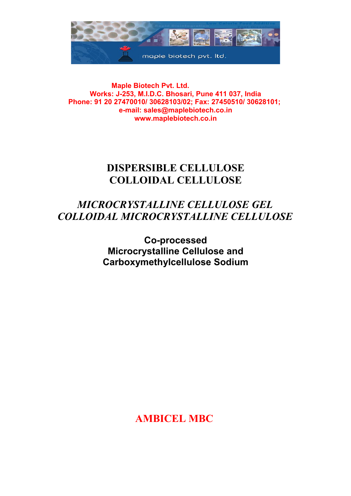

 **Maple Biotech Pvt. Ltd. Works: J-253, M.I.D.C. Bhosari, Pune 411 037, India Phone: 91 20 27470010/ 30628103/02; Fax: 27450510/ 30628101; e-mail: sales@maplebiotech.co.in www.maplebiotech.co.in**

# **DISPERSIBLE CELLULOSE COLLOIDAL CELLULOSE**

# *MICROCRYSTALLINE CELLULOSE GEL COLLOIDAL MICROCRYSTALLINE CELLULOSE*

**Co-processed Microcrystalline Cellulose and Carboxymethylcellulose Sodium**

**AMBICEL MBC**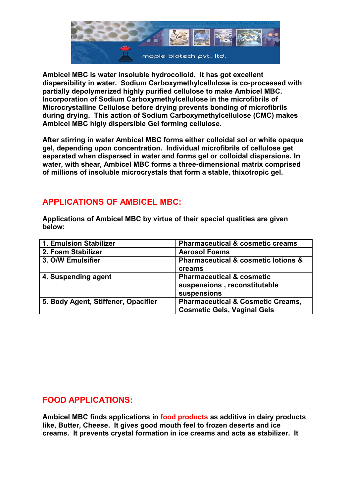

**Ambicel MBC is water insoluble hydrocolloid. It has got excellent dispersibility in water. Sodium Carboxymethylcellulose is co-processed with partially depolymerized highly purified cellulose to make Ambicel MBC. Incorporation of Sodium Carboxymethylcellulose in the microfibrils of Microcrystalline Cellulose before drying prevents bonding of microfibrils during drying. This action of Sodium Carboxymethylcellulose (CMC) makes Ambicel MBC higly dispersible Gel forming cellulose.**

**After stirring in water Ambicel MBC forms either colloidal sol or white opaque gel, depending upon concentration. Individual microfibrils of cellulose get separated when dispersed in water and forms gel or colloidal dispersions. In water, with shear, Ambicel MBC forms a three-dimensional matrix comprised of millions of insoluble microcrystals that form a stable, thixotropic gel.**

# **APPLICATIONS OF AMBICEL MBC:**

**Applications of Ambicel MBC by virtue of their special qualities are given below:**

| 1. Emulsion Stabilizer              | <b>Pharmaceutical &amp; cosmetic creams</b>        |
|-------------------------------------|----------------------------------------------------|
| 2. Foam Stabilizer                  | <b>Aerosol Foams</b>                               |
| 3. O/W Emulsifier                   | <b>Pharmaceutical &amp; cosmetic lotions &amp;</b> |
|                                     | creams                                             |
| 4. Suspending agent                 | <b>Pharmaceutical &amp; cosmetic</b>               |
|                                     | suspensions, reconstitutable                       |
|                                     | suspensions                                        |
| 5. Body Agent, Stiffener, Opacifier | <b>Pharmaceutical &amp; Cosmetic Creams,</b>       |
|                                     | <b>Cosmetic Gels, Vaginal Gels</b>                 |

# **FOOD APPLICATIONS:**

**Ambicel MBC finds applications in food products as additive in dairy products like, Butter, Cheese. It gives good mouth feel to frozen deserts and ice creams. It prevents crystal formation in ice creams and acts as stabilizer. It**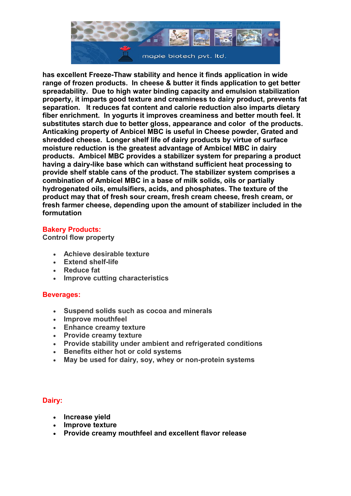

**has excellent Freeze-Thaw stability and hence it finds application in wide range of frozen products. In cheese & butter it finds application to get better spreadability. Due to high water binding capacity and emulsion stabilization property, it imparts good texture and creaminess to dairy product, prevents fat separation. It reduces fat content and calorie reduction also imparts dietary fiber enrichment. In yogurts it improves creaminess and better mouth feel. It substitutes starch due to better gloss, appearance and color of the products. Anticaking property of Anbicel MBC is useful in Cheese powder, Grated and shredded cheese. Longer shelf life of dairy products by virtue of surface moisture reduction is the greatest advantage of Ambicel MBC in dairy products. Ambicel MBC provides a stabilizer system for preparing a product having a dairy-like base which can withstand sufficient heat processing to provide shelf stable cans of the product. The stabilizer system comprises a combination of Ambicel MBC in a base of milk solids, oils or partially hydrogenated oils, emulsifiers, acids, and phosphates. The texture of the product may that of fresh sour cream, fresh cream cheese, fresh cream, or fresh farmer cheese, depending upon the amount of stabilizer included in the formutation**

### **Bakery Products:**

**Control flow property**

- **Achieve desirable texture**
- **Extend shelf-life**
- **Reduce fat**
- **Improve cutting characteristics**

### **Beverages:**

- **Suspend solids such as cocoa and minerals**
- **Improve mouthfeel**
- **Enhance creamy texture**
- **Provide creamy texture**
- **Provide stability under ambient and refrigerated conditions**
- **Benefits either hot or cold systems**
- **May be used for dairy, soy, whey or non-protein systems**

## **Dairy:**

- **Increase yield**
- **Improve texture**
- **Provide creamy mouthfeel and excellent flavor release**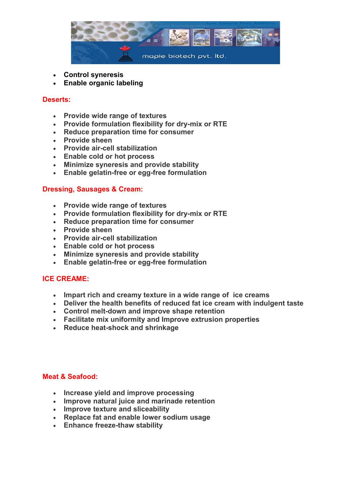

- **Control syneresis**
- **Enable organic labeling**

### **Deserts:**

- **Provide wide range of textures**
- **Provide formulation flexibility for dry-mix or RTE**
- **Reduce preparation time for consumer**
- **Provide sheen**
- **Provide air-cell stabilization**
- **Enable cold or hot process**
- **Minimize syneresis and provide stability**
- **Enable gelatin-free or egg-free formulation**

### **Dressing, Sausages & Cream:**

- **Provide wide range of textures**
- **Provide formulation flexibility for dry-mix or RTE**
- **Reduce preparation time for consumer**
- **Provide sheen**
- **Provide air-cell stabilization**
- **Enable cold or hot process**
- **Minimize syneresis and provide stability**
- **Enable gelatin-free or egg-free formulation**

## **ICE CREAME:**

- **Impart rich and creamy texture in a wide range of ice creams**
- **Deliver the health benefits of reduced fat ice cream with indulgent taste**
- **Control melt-down and improve shape retention**
- **Facilitate mix uniformity and Improve extrusion properties**
- **Reduce heat-shock and shrinkage**

### **Meat & Seafood:**

- **Increase yield and improve processing**
- **Improve natural juice and marinade retention**
- **Improve texture and sliceability**
- **Replace fat and enable lower sodium usage**
- **Enhance freeze-thaw stability**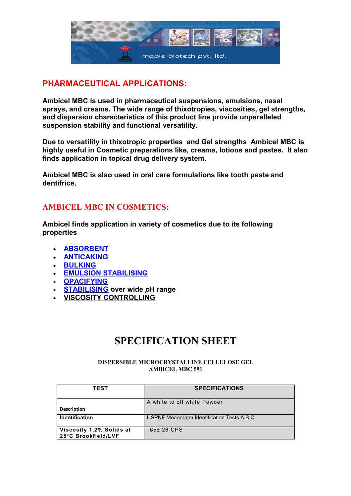

# **PHARMACEUTICAL APPLICATIONS:**

**Ambicel MBC is used in pharmaceutical suspensions, emulsions, nasal sprays, and creams. The wide range of thixotropies, viscosities, gel strengths, and dispersion characteristics of this product line provide unparalleled suspension stability and functional versatility.** 

**Due to versatility in thixotropic properties and Gel strengths Ambicel MBC is highly useful in Cosmetic preparations like, creams, lotions and pastes. It also finds application in topical drug delivery system.**

**Ambicel MBC is also used in oral care formulations like tooth paste and dentifrice.**

## **AMBICEL MBC IN COSMETICS:**

**Ambicel finds application in variety of cosmetics due to its following properties**

- **[ABSORBENT](http://ec.europa.eu/enterprise/cosmetics/cosing/index.cfm?fuseaction=search.results&function=2&search)**
- **[ANTICAKING](http://ec.europa.eu/enterprise/cosmetics/cosing/index.cfm?fuseaction=search.results&function=3&search)**
- **[BULKING](http://ec.europa.eu/enterprise/cosmetics/cosing/index.cfm?fuseaction=search.results&function=17&search)**
- **[EMULSION STABILISING](http://ec.europa.eu/enterprise/cosmetics/cosing/index.cfm?fuseaction=search.results&function=27&search)**
- **[OPACIFYING](http://ec.europa.eu/enterprise/cosmetics/cosing/index.cfm?fuseaction=search.results&function=42&search)**
- **[STABILISING](http://ec.europa.eu/enterprise/cosmetics/cosing/index.cfm?fuseaction=search.results&function=57&search) over wide** *p***H range**
- **[VISCOSITY CONTROLLING](http://ec.europa.eu/enterprise/cosmetics/cosing/index.cfm?fuseaction=search.results&function=63&search)**

# **SPECIFICATION SHEET**

#### **DISPERSIBLE MICROCRYSTALLINE CELLULOSE GEL AMBICEL MBC 591**

| TEST                                            | <b>SPECIFICATIONS</b>                        |
|-------------------------------------------------|----------------------------------------------|
| <b>Description</b>                              | A white to off white Powder                  |
| <b>Identification</b>                           | USPNF Monograph Identification Tests A, B, C |
| Viscosity 1.2% Solids at<br>25°C Brookfield/LVF | $65±26$ CPS                                  |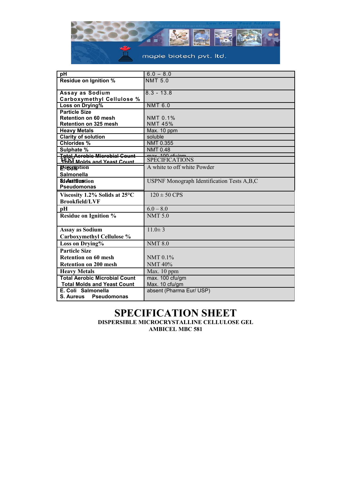

| рH                                   | $6.0 - 8.0$                                |
|--------------------------------------|--------------------------------------------|
| <b>Residue on Ignition %</b>         | <b>NMT 5.0</b>                             |
|                                      |                                            |
| Assay as Sodium                      | $8.3 - 13.8$                               |
| <b>Carboxymethyl Cellulose %</b>     |                                            |
| Loss on Drying%                      | <b>NMT 6.0</b>                             |
| <b>Particle Size</b>                 |                                            |
| <b>Retention on 60 mesh</b>          | NMT 0.1%                                   |
| <b>Retention on 325 mesh</b>         | <b>NMT 45%</b>                             |
| <b>Heavy Metals</b>                  | Max. 10 ppm                                |
| <b>Clarity of solution</b>           | soluble                                    |
| <b>Chlorides %</b>                   | NMT 0.355                                  |
| Sulphate %                           | <b>NMT 0.48</b>                            |
| <b>Total Aerobic Microbial Count</b> | $mav$ $400$ $dudam$                        |
| Total Molds and Yeast Count          | <b>SPECIFICATIONS</b>                      |
| <b>Peogription</b>                   | A white to off white Powder                |
| <b>Salmonella</b>                    |                                            |
| <b>Sichurgustion</b>                 | USPNF Monograph Identification Tests A,B,C |
| <b>Pseudomonas</b>                   |                                            |
| Viscosity 1.2% Solids at 25°C        | $120 \pm 50$ CPS                           |
| <b>Brookfield/LVF</b>                |                                            |
| pН                                   | $6.0 - 8.0$                                |
| <b>Residue on Ignition %</b>         | <b>NMT 5.0</b>                             |
|                                      |                                            |
| <b>Assay as Sodium</b>               | $11.0 \pm 3$                               |
| <b>Carboxymethyl Cellulose %</b>     |                                            |
| Loss on Drying%                      | <b>NMT 8.0</b>                             |
| <b>Particle Size</b>                 |                                            |
| <b>Retention on 60 mesh</b>          | NMT 0.1%                                   |
| <b>Retention on 200 mesh</b>         | <b>NMT 40%</b>                             |
| <b>Heavy Metals</b>                  | Max. 10 ppm                                |
| <b>Total Aerobic Microbial Count</b> | max. 100 cfu/gm                            |
| <b>Total Molds and Yeast Count</b>   | Max. 10 cfu/gm                             |
|                                      |                                            |
| E. Coli Salmonella                   | absent (Pharma Eur/ USP)                   |

### **SPECIFICATION SHEET DISPERSIBLE MICROCRYSTALLINE CELLULOSE GEL AMBICEL MBC 581**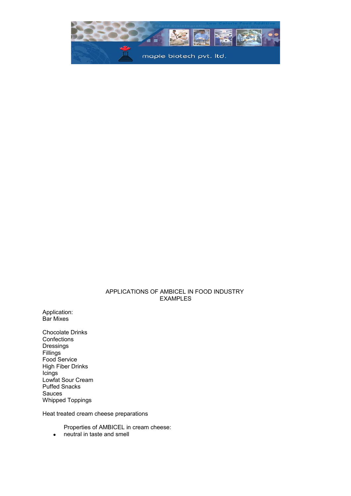

### APPLICATIONS OF AMBICEL IN FOOD INDUSTRY EXAMPLES

Application: Bar Mixes

Chocolate Drinks **Confections** Dressings Fillings Food Service High Fiber Drinks Icings Lowfat Sour Cream Puffed Snacks Sauces Whipped Toppings

Heat treated cream cheese preparations

Properties of AMBICEL in cream cheese:

• neutral in taste and smell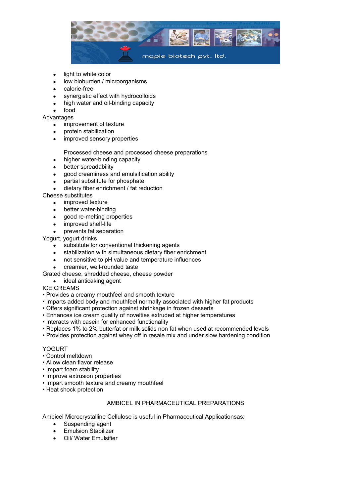

- light to white color
- low bioburden / microorganisms
- calorie-free
- synergistic effect with hydrocolloids
- high water and oil-binding capacity
- food

**Advantages** 

- improvement of texture
- protein stabilization
- improved sensory properties
	- Processed cheese and processed cheese preparations
- higher water-binding capacity
- better spreadability
- good creaminess and emulsification ability
- partial substitute for phosphate
- dietary fiber enrichment / fat reduction

### Cheese substitutes

- improved texture
- better water-binding
- good re-melting properties
- improved shelf-life
- prevents fat separation

Yogurt, yogurt drinks

- substitute for conventional thickening agents
- stabilization with simultaneous dietary fiber enrichment
- not sensitive to pH value and temperature influences
- creamier, well-rounded taste

Grated cheese, shredded cheese, cheese powder

- ideal anticaking agent
- ICE CREAMS
- Provides a creamy mouthfeel and smooth texture
- Imparts added body and mouthfeel normally associated with higher fat products
- Offers significant protection against shrinkage in frozen desserts
- Enhances ice cream quality of novelties extruded at higher temperatures
- Interacts with casein for enhanced functionality
- Replaces 1% to 2% butterfat or milk solids non fat when used at recommended levels
- Provides protection against whey off in resale mix and under slow hardening condition

#### YOGURT

- Control meltdown
- Allow clean flavor release
- Impart foam stability
- Improve extrusion properties
- Impart smooth texture and creamy mouthfeel
- Heat shock protection

### AMBICEL IN PHARMACEUTICAL PREPARATIONS

Ambicel Microcrystalline Cellulose is useful in Pharmaceutical Applicationsas:

- Suspending agent
- **•** Emulsion Stabilizer
- Oil/ Water Emulsifier